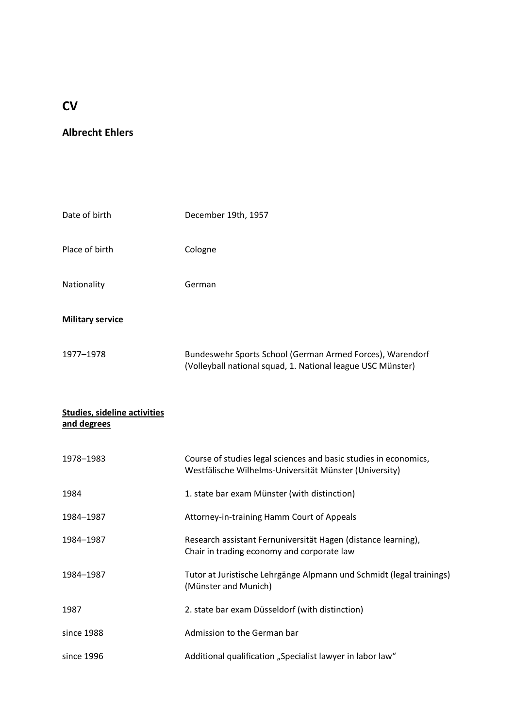# **CV**

## **Albrecht Ehlers**

| Date of birth                                      | December 19th, 1957                                                                                                        |
|----------------------------------------------------|----------------------------------------------------------------------------------------------------------------------------|
| Place of birth                                     | Cologne                                                                                                                    |
| Nationality                                        | German                                                                                                                     |
| <b>Military service</b>                            |                                                                                                                            |
| 1977-1978                                          | Bundeswehr Sports School (German Armed Forces), Warendorf<br>(Volleyball national squad, 1. National league USC Münster)   |
| <b>Studies, sideline activities</b><br>and degrees |                                                                                                                            |
| 1978-1983                                          | Course of studies legal sciences and basic studies in economics,<br>Westfälische Wilhelms-Universität Münster (University) |
| 1984                                               | 1. state bar exam Münster (with distinction)                                                                               |
| 1984-1987                                          | Attorney-in-training Hamm Court of Appeals                                                                                 |
| 1984-1987                                          | Research assistant Fernuniversität Hagen (distance learning),<br>Chair in trading economy and corporate law                |
| 1984-1987                                          | Tutor at Juristische Lehrgänge Alpmann und Schmidt (legal trainings)<br>(Münster and Munich)                               |
| 1987                                               | 2. state bar exam Düsseldorf (with distinction)                                                                            |
| since 1988                                         | Admission to the German bar                                                                                                |
| since 1996                                         | Additional qualification "Specialist lawyer in labor law"                                                                  |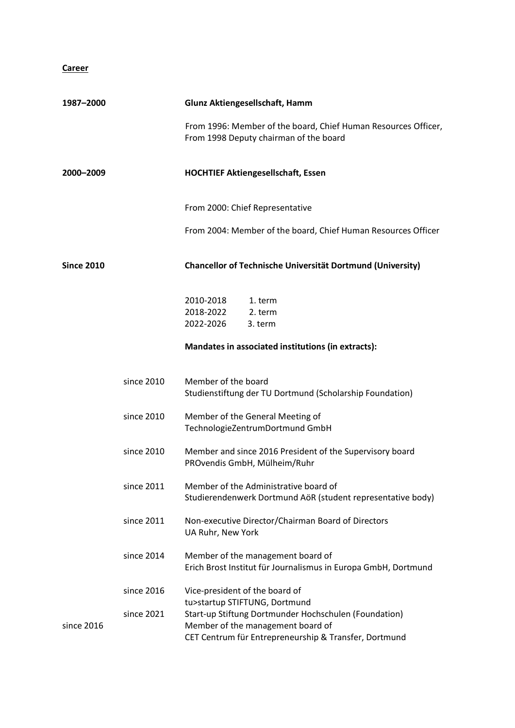#### **Career**

| 1987–2000         |            | Glunz Aktiengesellschaft, Hamm                                                                                                                      |  |
|-------------------|------------|-----------------------------------------------------------------------------------------------------------------------------------------------------|--|
|                   |            | From 1996: Member of the board, Chief Human Resources Officer,<br>From 1998 Deputy chairman of the board                                            |  |
| 2000-2009         |            | <b>HOCHTIEF Aktiengesellschaft, Essen</b>                                                                                                           |  |
|                   |            | From 2000: Chief Representative                                                                                                                     |  |
|                   |            | From 2004: Member of the board, Chief Human Resources Officer                                                                                       |  |
| <b>Since 2010</b> |            | Chancellor of Technische Universität Dortmund (University)                                                                                          |  |
|                   |            | 2010-2018<br>1. term<br>2018-2022<br>2. term<br>2022-2026<br>3. term                                                                                |  |
|                   |            | Mandates in associated institutions (in extracts):                                                                                                  |  |
|                   | since 2010 | Member of the board<br>Studienstiftung der TU Dortmund (Scholarship Foundation)                                                                     |  |
|                   | since 2010 | Member of the General Meeting of<br>TechnologieZentrumDortmund GmbH                                                                                 |  |
|                   | since 2010 | Member and since 2016 President of the Supervisory board<br>PROvendis GmbH, Mülheim/Ruhr                                                            |  |
|                   | since 2011 | Member of the Administrative board of<br>Studierendenwerk Dortmund AöR (student representative body)                                                |  |
|                   | since 2011 | Non-executive Director/Chairman Board of Directors<br>UA Ruhr, New York                                                                             |  |
|                   | since 2014 | Member of the management board of<br>Erich Brost Institut für Journalismus in Europa GmbH, Dortmund                                                 |  |
|                   | since 2016 | Vice-president of the board of<br>tu>startup STIFTUNG, Dortmund                                                                                     |  |
| since 2016        | since 2021 | Start-up Stiftung Dortmunder Hochschulen (Foundation)<br>Member of the management board of<br>CET Centrum für Entrepreneurship & Transfer, Dortmund |  |